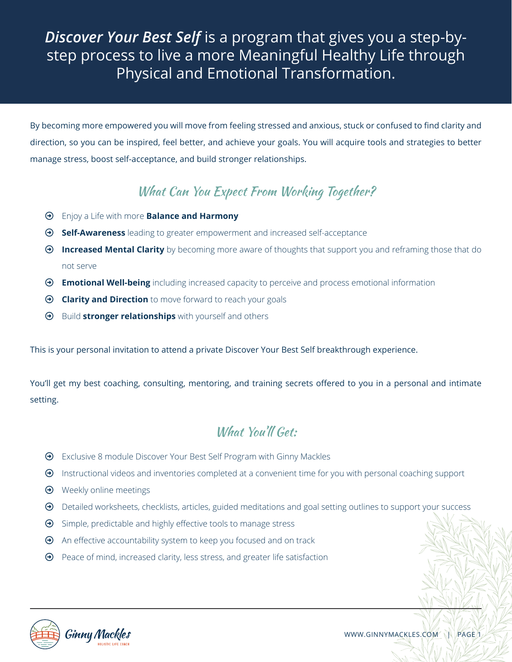# *Discover Your Best Self* is a program that gives you a step-bystep process to live a more Meaningful Healthy Life through Physical and Emotional Transformation.

By becoming more empowered you will move from feeling stressed and anxious, stuck or confused to find clarity and direction, so you can be inspired, feel better, and achieve your goals. You will acquire tools and strategies to better manage stress, boost self-acceptance, and build stronger relationships.

### What Can You Expect From Working Together?

- ³ Enjoy a Life with more **Balance and Harmony**
- ³ **Self-Awareness** leading to greater empowerment and increased self-acceptance
- ³ **Increased Mental Clarity** by becoming more aware of thoughts that support you and reframing those that do not serve
- ³ **Emotional Well-being** including increased capacity to perceive and process emotional information
- $\odot$  **Clarity and Direction** to move forward to reach your goals
- $\Theta$  Build **stronger relationships** with yourself and others

This is your personal invitation to attend a private Discover Your Best Self breakthrough experience.

You'll get my best coaching, consulting, mentoring, and training secrets offered to you in a personal and intimate setting.

#### What You'll Get:

- $\Theta$  Exclusive 8 module Discover Your Best Self Program with Ginny Mackles
- $\Theta$  Instructional videos and inventories completed at a convenient time for you with personal coaching support
- $\Theta$  Weekly online meetings
- $\Theta$  Detailed worksheets, checklists, articles, guided meditations and goal setting outlines to support your success
- $\Theta$  Simple, predictable and highly effective tools to manage stress
- $\Theta$  An effective accountability system to keep you focused and on track
- $\Theta$  Peace of mind, increased clarity, less stress, and greater life satisfaction